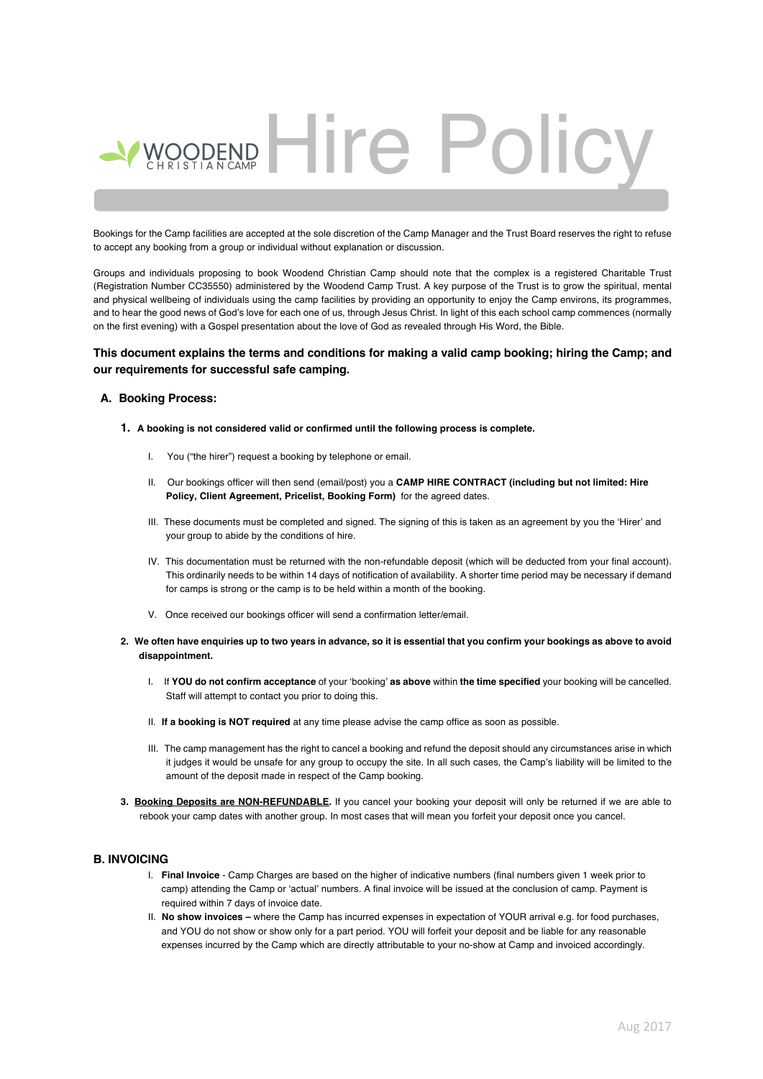# PREND Hire Polic

Bookings for the Camp facilities are accepted at the sole discretion of the Camp Manager and the Trust Board reserves the right to refuse to accept any booking from a group or individual without explanation or discussion.

Groups and individuals proposing to book Woodend Christian Camp should note that the complex is a registered Charitable Trust (Registration Number CC35550) administered by the Woodend Camp Trust. A key purpose of the Trust is to grow the spiritual, mental and physical wellbeing of individuals using the camp facilities by providing an opportunity to enjoy the Camp environs, its programmes, and to hear the good news of God's love for each one of us, through Jesus Christ. In light of this each school camp commences (normally on the first evening) with a Gospel presentation about the love of God as revealed through His Word, the Bible.

#### **This document explains the terms and conditions for making a valid camp booking; hiring the Camp; and our requirements for successful safe camping.**

#### **A. Booking Process:**

- **1. A booking is not considered valid or confirmed until the following process is complete.**
	- I. You ("the hirer") request a booking by telephone or email.
	- II. Our bookings officer will then send (email/post) you a **CAMP HIRE CONTRACT (including but not limited: Hire Policy, Client Agreement, Pricelist, Booking Form)** for the agreed dates.
	- III. These documents must be completed and signed. The signing of this is taken as an agreement by you the 'Hirer' and your group to abide by the conditions of hire.
	- IV. This documentation must be returned with the non-refundable deposit (which will be deducted from your final account). This ordinarily needs to be within 14 days of notification of availability. A shorter time period may be necessary if demand for camps is strong or the camp is to be held within a month of the booking.
	- V. Once received our bookings officer will send a confirmation letter/email.
- **2. We often have enquiries up to two years in advance, so it is essential that you confirm your bookings as above to avoid disappointment.**
	- I. If **YOU do not confirm acceptance** of your 'booking' **as above** within **the time specified** your booking will be cancelled. Staff will attempt to contact you prior to doing this.
	- II. **If a booking is NOT required** at any time please advise the camp office as soon as possible.
	- III. The camp management has the right to cancel a booking and refund the deposit should any circumstances arise in which it judges it would be unsafe for any group to occupy the site. In all such cases, the Camp's liability will be limited to the amount of the deposit made in respect of the Camp booking.
- **3. Booking Deposits are NON-REFUNDABLE.** If you cancel your booking your deposit will only be returned if we are able to rebook your camp dates with another group. In most cases that will mean you forfeit your deposit once you cancel.

#### **B. INVOICING**

- I. **Final Invoice** Camp Charges are based on the higher of indicative numbers (final numbers given 1 week prior to camp) attending the Camp or 'actual' numbers. A final invoice will be issued at the conclusion of camp. Payment is required within 7 days of invoice date.
- II. **No show invoices –** where the Camp has incurred expenses in expectation of YOUR arrival e.g. for food purchases, and YOU do not show or show only for a part period. YOU will forfeit your deposit and be liable for any reasonable expenses incurred by the Camp which are directly attributable to your no-show at Camp and invoiced accordingly.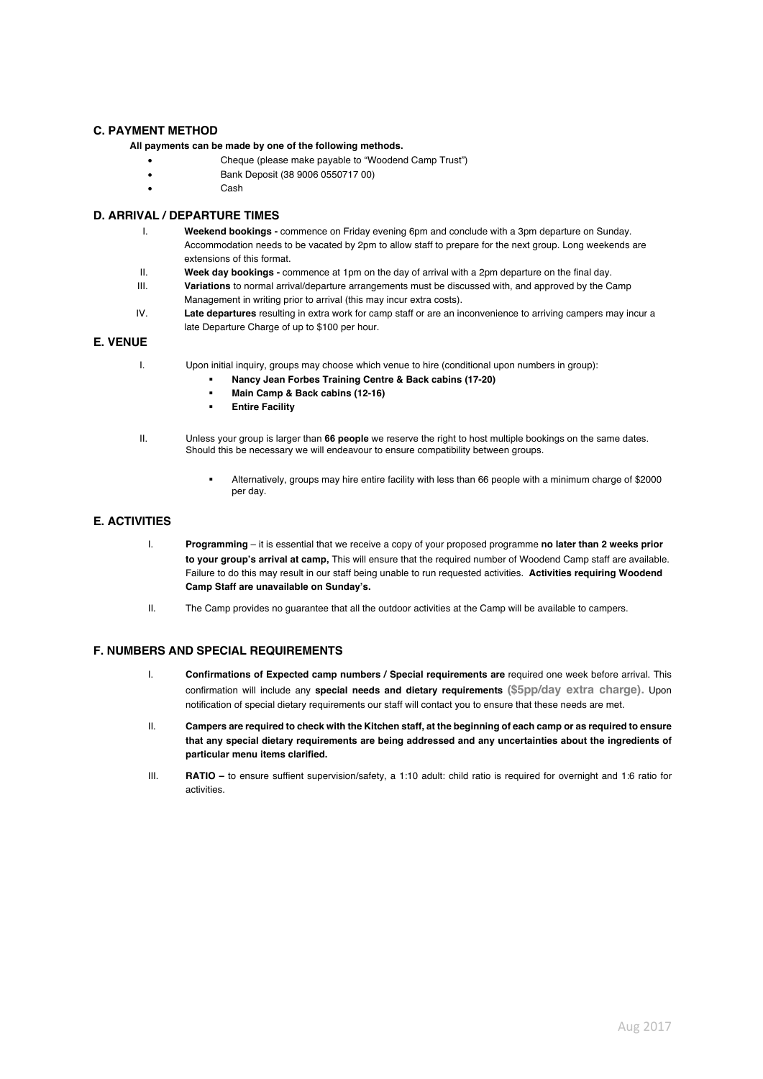#### **C. PAYMENT METHOD**

#### **All payments can be made by one of the following methods.**

- Cheque (please make payable to "Woodend Camp Trust")
- Bank Deposit (38 9006 0550717 00)
- Cash

### **D. ARRIVAL / DEPARTURE TIMES**

- I. **Weekend bookings -** commence on Friday evening 6pm and conclude with a 3pm departure on Sunday. Accommodation needs to be vacated by 2pm to allow staff to prepare for the next group. Long weekends are extensions of this format.
- II. **Week day bookings -** commence at 1pm on the day of arrival with a 2pm departure on the final day.
- III. **Variations** to normal arrival/departure arrangements must be discussed with, and approved by the Camp Management in writing prior to arrival (this may incur extra costs).
- IV. **Late departures** resulting in extra work for camp staff or are an inconvenience to arriving campers may incur a late Departure Charge of up to \$100 per hour.

#### **E. VENUE**

- I. Upon initial inquiry, groups may choose which venue to hire (conditional upon numbers in group):
	- § **Nancy Jean Forbes Training Centre & Back cabins (17-20)**
	- § **Main Camp & Back cabins (12-16)**
	- § **Entire Facility**
- II. Unless your group is larger than **66 people** we reserve the right to host multiple bookings on the same dates. Should this be necessary we will endeavour to ensure compatibility between groups.
	- § Alternatively, groups may hire entire facility with less than 66 people with a minimum charge of \$2000 per day.

#### **E. ACTIVITIES**

- I. **Programming**  it is essential that we receive a copy of your proposed programme **no later than 2 weeks prior to your group's arrival at camp,** This will ensure that the required number of Woodend Camp staff are available. Failure to do this may result in our staff being unable to run requested activities. **Activities requiring Woodend Camp Staff are unavailable on Sunday's.**
- II. The Camp provides no guarantee that all the outdoor activities at the Camp will be available to campers.

#### **F. NUMBERS AND SPECIAL REQUIREMENTS**

- I. **Confirmations of Expected camp numbers / Special requirements are** required one week before arrival. This confirmation will include any **special needs and dietary requirements (\$5pp/day extra charge).** Upon notification of special dietary requirements our staff will contact you to ensure that these needs are met.
- II. **Campers are required to check with the Kitchen staff, at the beginning of each camp or as required to ensure that any special dietary requirements are being addressed and any uncertainties about the ingredients of particular menu items clarified.**
- III. **RATIO –** to ensure suffient supervision/safety, a 1:10 adult: child ratio is required for overnight and 1:6 ratio for activities.